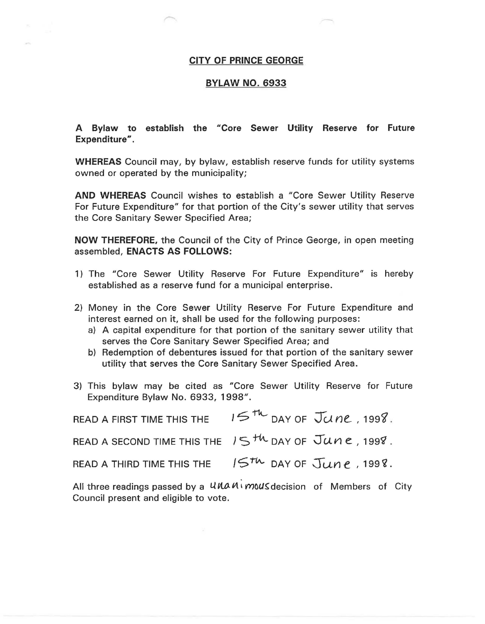## **CITY OF PRINCE GEORGE**

## **BYLAW NO. 6933**

**A Bylaw to establish the "Core Sewer Utility Reserve for Future Expenditure".** 

**WHEREAS** Council may, by bylaw, establish reserve funds for utility systems owned or operated by the municipality;

**AND WHEREAS** Council wishes to establish a "Core Sewer Utility Reserve For Future Expenditure" for that portion of the City's sewer utility that serves the Core Sanitary Sewer Specified Area;

**NOW THEREFORE,** the Council of the City of Prince George, in open meeting assembled, **ENACTS AS FOLLOWS:** 

- 1) The "Core Sewer Utility Reserve For Future Expenditure" 1s hereby established as a reserve fund for a municipal enterprise.
- 2) Money in the Core Sewer Utility Reserve For Future Expenditure and interest earned on it, shall be used for the following purposes:
	- a) A capital expenditure for that portion of the sanitary sewer utility that serves the Core Sanitary Sewer Specified Area; and
	- b) Redemption of debentures issued for that portion of the sanitary sewer utility that serves the Core Sanitary Sewer Specified Area.
- 3) This bylaw may be cited as "Core Sewer Utility Reserve for Future Expenditure Bylaw No. 6933, 1998".

| READ A FIRST TIME THIS THE | $157$ DAY OF JUNE, 1998.                                                        |
|----------------------------|---------------------------------------------------------------------------------|
|                            | READ A SECOND TIME THIS THE $15$ <sup>th</sup> DAY OF $\overline{J}$ une, 1998. |
|                            | READ A THIRD TIME THIS THE $15^{th}$ DAY OF $\text{June}$ , 1998.               |

All three readings passed by a *UNAM Mous* decision of Members of City Council present and eligible to vote.